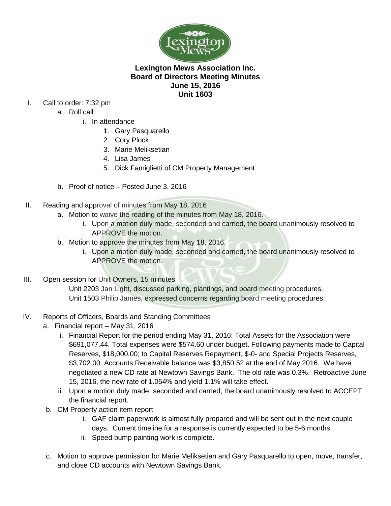

## **Lexington Mews Association Inc. Board of Directors Meeting Minutes June 15, 2016 Unit 1603**

- I. Call to order: 7:32 pm
	- a. Roll call.
		- i. In attendance
			- 1. Gary Pasquarello
			- 2. Cory Plock
			- 3. Marie Meliksetian
			- 4. Lisa James
			- 5. Dick Famiglietti of CM Property Management
	- b. Proof of notice Posted June 3, 2016
- II. Reading and approval of minutes from May 18, 2016
	- a. Motion to waive the reading of the minutes from May 18, 2016.
		- i. Upon a motion duly made, seconded and carried, the board unanimously resolved to APPROVE the motion.
	- b. Motion to approve the minutes from May 18, 2016.
		- i. Upon a motion duly made, seconded and carried, the board unanimously resolved to APPROVE the motion.
- III. Open session for Unit Owners, 15 minutes.

Unit 2203 Jan Light, discussed parking, plantings, and board meeting procedures. Unit 1503 Philip James, expressed concerns regarding board meeting procedures.

- IV. Reports of Officers, Boards and Standing Committees
	- a. Financial report May 31, 2016
		- i. Financial Report for the period ending May 31, 2016: Total Assets for the Association were \$691,077.44. Total expenses were \$574.60 under budget. Following payments made to Capital Reserves, \$18,000.00; to Capital Reserves Repayment, \$-0- and Special Projects Reserves, \$3,702.00. Accounts Receivable balance was \$3,850.52 at the end of May 2016. We have negotiated a new CD rate at Newtown Savings Bank. The old rate was 0.3%. Retroactive June 15, 2016, the new rate of 1.054% and yield 1.1% will take effect.
		- ii. Upon a motion duly made, seconded and carried, the board unanimously resolved to ACCEPT the financial report.
	- b. CM Property action item report.
		- i. GAF claim paperwork is almost fully prepared and will be sent out in the next couple days. Current timeline for a response is currently expected to be 5-6 months.
		- ii. Speed bump painting work is complete.
	- c. Motion to approve permission for Marie Meliksetian and Gary Pasquarello to open, move, transfer, and close CD accounts with Newtown Savings Bank.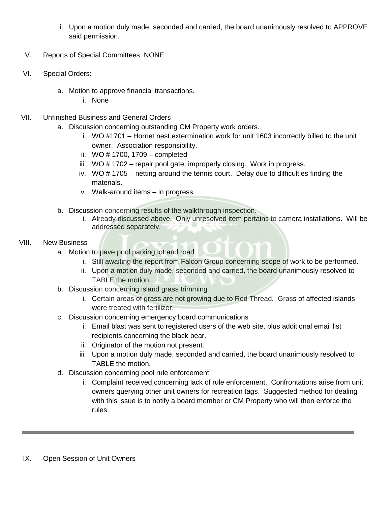- i. Upon a motion duly made, seconded and carried, the board unanimously resolved to APPROVE said permission.
- V. Reports of Special Committees: NONE
- VI. Special Orders:
	- a. Motion to approve financial transactions.
		- i. None
- VII. Unfinished Business and General Orders
	- a. Discussion concerning outstanding CM Property work orders.
		- i. WO #1701 Hornet nest extermination work for unit 1603 incorrectly billed to the unit owner. Association responsibility.
		- ii. WO # 1700, 1709 completed
		- iii. WO # 1702 repair pool gate, improperly closing. Work in progress.
		- iv. WO # 1705 netting around the tennis court. Delay due to difficulties finding the materials.
		- v. Walk-around items in progress.
	- b. Discussion concerning results of the walkthrough inspection.
		- i. Already discussed above. Only unresolved item pertains to camera installations. Will be addressed separately.

## VIII. New Business

- a. Motion to pave pool parking lot and road.
	- i. Still awaiting the report from Falcon Group concerning scope of work to be performed.
	- ii. Upon a motion duly made, seconded and carried, the board unanimously resolved to TABLE the motion.
- b. Discussion concerning island grass trimming
	- i. Certain areas of grass are not growing due to Red Thread. Grass of affected islands were treated with fertilizer.
- c. Discussion concerning emergency board communications
	- i. Email blast was sent to registered users of the web site, plus additional email list recipients concerning the black bear.
	- ii. Originator of the motion not present.
	- iii. Upon a motion duly made, seconded and carried, the board unanimously resolved to TABLE the motion.
- d. Discussion concerning pool rule enforcement
	- i. Complaint received concerning lack of rule enforcement. Confrontations arise from unit owners querying other unit owners for recreation tags. Suggested method for dealing with this issue is to notify a board member or CM Property who will then enforce the rules.